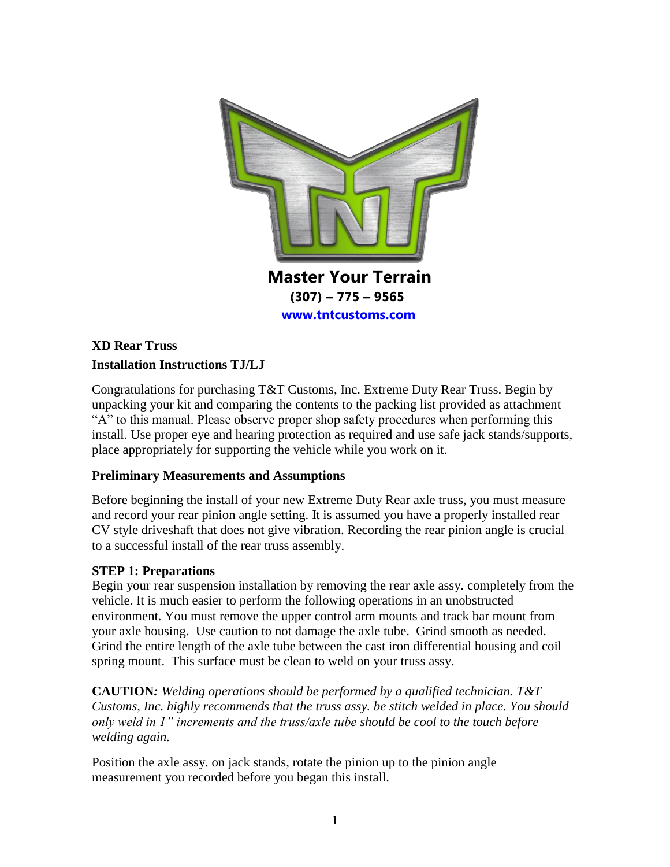

## **XD Rear Truss Installation Instructions TJ/LJ**

Congratulations for purchasing T&T Customs, Inc. Extreme Duty Rear Truss. Begin by unpacking your kit and comparing the contents to the packing list provided as attachment "A" to this manual. Please observe proper shop safety procedures when performing this install. Use proper eye and hearing protection as required and use safe jack stands/supports, place appropriately for supporting the vehicle while you work on it.

### **Preliminary Measurements and Assumptions**

Before beginning the install of your new Extreme Duty Rear axle truss, you must measure and record your rear pinion angle setting. It is assumed you have a properly installed rear CV style driveshaft that does not give vibration. Recording the rear pinion angle is crucial to a successful install of the rear truss assembly.

### **STEP 1: Preparations**

Begin your rear suspension installation by removing the rear axle assy. completely from the vehicle. It is much easier to perform the following operations in an unobstructed environment. You must remove the upper control arm mounts and track bar mount from your axle housing. Use caution to not damage the axle tube. Grind smooth as needed. Grind the entire length of the axle tube between the cast iron differential housing and coil spring mount. This surface must be clean to weld on your truss assy.

**CAUTION***: Welding operations should be performed by a qualified technician. T&T Customs, Inc. highly recommends that the truss assy. be stitch welded in place. You should only weld in 1" increments and the truss/axle tube should be cool to the touch before welding again.*

Position the axle assy. on jack stands, rotate the pinion up to the pinion angle measurement you recorded before you began this install.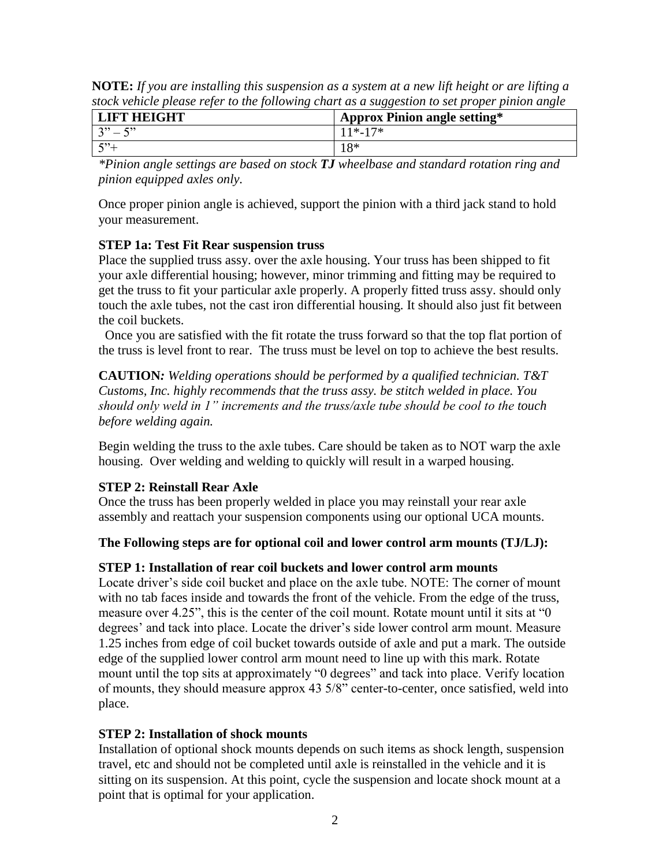| stock vehicle please refer to the following chart as a suggestion to set proper pinion angle |                                     |
|----------------------------------------------------------------------------------------------|-------------------------------------|
| <b>LIFT HEIGHT</b>                                                                           | <b>Approx Pinion angle setting*</b> |
| $3" - 5"$                                                                                    | 11*-17*                             |
| $\frac{1}{2}$ 5 <sup>3</sup> +                                                               | $18*$                               |

**NOTE:** *If you are installing this suspension as a system at a new lift height or are lifting a stock vehicle please refer to the following chart as a suggestion to set proper pinion angle*

*\*Pinion angle settings are based on stock TJ wheelbase and standard rotation ring and pinion equipped axles only.*

Once proper pinion angle is achieved, support the pinion with a third jack stand to hold your measurement.

### **STEP 1a: Test Fit Rear suspension truss**

Place the supplied truss assy. over the axle housing. Your truss has been shipped to fit your axle differential housing; however, minor trimming and fitting may be required to get the truss to fit your particular axle properly. A properly fitted truss assy. should only touch the axle tubes, not the cast iron differential housing. It should also just fit between the coil buckets.

Once you are satisfied with the fit rotate the truss forward so that the top flat portion of the truss is level front to rear. The truss must be level on top to achieve the best results.

**CAUTION***: Welding operations should be performed by a qualified technician. T&T Customs, Inc. highly recommends that the truss assy. be stitch welded in place. You should only weld in 1" increments and the truss/axle tube should be cool to the touch before welding again.*

Begin welding the truss to the axle tubes. Care should be taken as to NOT warp the axle housing. Over welding and welding to quickly will result in a warped housing.

### **STEP 2: Reinstall Rear Axle**

Once the truss has been properly welded in place you may reinstall your rear axle assembly and reattach your suspension components using our optional UCA mounts.

**The Following steps are for optional coil and lower control arm mounts (TJ/LJ):** 

### **STEP 1: Installation of rear coil buckets and lower control arm mounts**

Locate driver's side coil bucket and place on the axle tube. NOTE: The corner of mount with no tab faces inside and towards the front of the vehicle. From the edge of the truss, measure over 4.25", this is the center of the coil mount. Rotate mount until it sits at "0 degrees' and tack into place. Locate the driver's side lower control arm mount. Measure 1.25 inches from edge of coil bucket towards outside of axle and put a mark. The outside edge of the supplied lower control arm mount need to line up with this mark. Rotate mount until the top sits at approximately "0 degrees" and tack into place. Verify location of mounts, they should measure approx 43 5/8" center-to-center, once satisfied, weld into place.

### **STEP 2: Installation of shock mounts**

Installation of optional shock mounts depends on such items as shock length, suspension travel, etc and should not be completed until axle is reinstalled in the vehicle and it is sitting on its suspension. At this point, cycle the suspension and locate shock mount at a point that is optimal for your application.